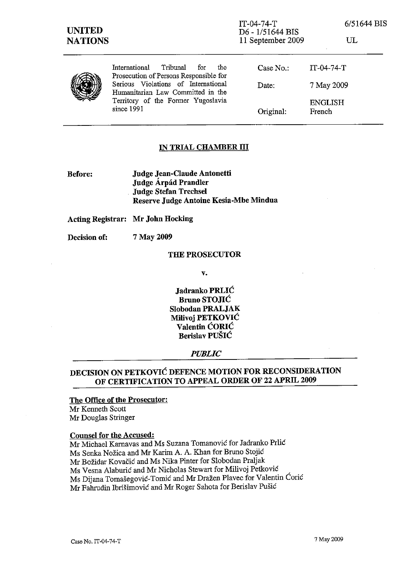| <b>UNITED</b><br><b>NATIONS</b> |                                                                                                                                                                                                                   | $IT-04-74-T$<br>D6 - 1/51644 BIS<br>11 September 2009 | 6/51644 BIS<br>UL        |
|---------------------------------|-------------------------------------------------------------------------------------------------------------------------------------------------------------------------------------------------------------------|-------------------------------------------------------|--------------------------|
|                                 | Tribunal<br>International<br>for<br>the<br>Prosecution of Persons Responsible for<br>Serious Violations of International<br>Humanitarian Law Committed in the<br>Territory of the Former Yugoslavia<br>since 1991 | Case No.:                                             | $IT-04-74-T$             |
|                                 |                                                                                                                                                                                                                   | Date:                                                 | 7 May 2009               |
|                                 |                                                                                                                                                                                                                   | Original:                                             | <b>ENGLISH</b><br>French |

#### IN TRIAL CHAMBER III

Before: Judge Jean-Claude Antonetti Judge Árpád Prandler Judge Stefan Trechsel Reserve Judge Antoine Kesia-Mbe Mindua

Acting Registrar: Mr John Hocking

Decision of: 7 May 2009

## THE PROSECUTOR

v.

Jadranko PRLIC Bruno STOjIC Slobodan PRALJAK MiIivoj PETKOVIC Valentin CORIC Berislav PUSIC

*PUBLIC* 

# DECISION ON PETKOVIC DEFENCE MOTION FOR RECONSIDERATION OF CERTIFICATION TO APPEAL ORDER OF 22 APRIL 2009

### The Office of the Prosecutor:

Mr Kenneth Scott Mr Douglas Stringer

#### Counsel for the Accused:

Mr Michael Kamavas and Ms Suzana Tomanovic for Jadranko PrIic Ms Senka Nozica and Mr Karim A. A. Khan for Bruno Stojic Mr Bozidar Kovacic and Ms Nika Pinter for Slobodan Praljak Ms Vesna Alaburic and Mr Nicholas Stewart for Milivoj Petko vic Ms Dijana Tomašegović-Tomić and Mr Dražen Plavec for Valentin Ćorić Mr Fahrudin Ibrisimovic and Mr Roger Sahola for Berislav Pusic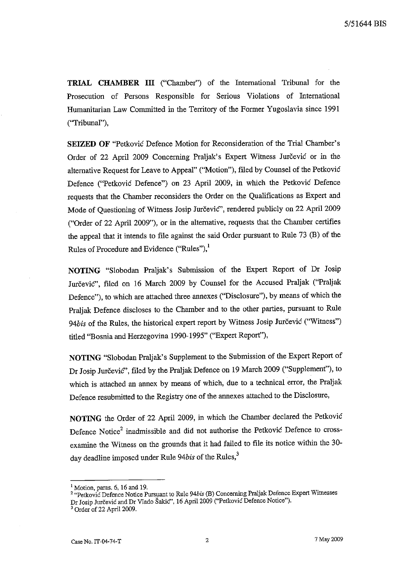**TRIAL CHAMBER III** ("Chamber") of the International Tribunal for the Prosecution of Persons Responsible for Serious Violations of International Humanitarian Law Committed in the Territory of the Former Yugoslavia since 1991 ("Tribunal"),

SEIZED OF "Petković Defence Motion for Reconsideration of the Trial Chamber's Order of 22 April 2009 Concerning Praljak's Expert Witness Jurčević or in the alternative Request for Leave to Appeal" ("Motion"), filed by Counsel of the Petkovic Defence ("Petkovic Defence") on 23 April 2009, in which the Petkovic Defence requests that the Chamber reconsiders the Order on the Qualifications as Expert and Mode of Questioning of Witness Josip Jurčević", rendered publicly on 22 April 2009 ("Order of 22 April 2009"), or in the alternative, requests that the Chamber certifies the appeal that it intends to file against the said Order pursuant to Rule 73 (B) of the Rules of Procedure and Evidence ("Rules"),<sup>1</sup>

**NOTING** "Slobodan Praljak's Submission of the Expert Report of Dr Josip Jurčević", filed on 16 March 2009 by Counsel for the Accused Praljak ("Praljak Defence"), to which are attached three annexes ("Disclosure"), by means of which the Praljak Defence discloses to the Chamber and to the other parties, pursuant to Rule 94bis of the Rules, the historical expert report by Witness Josip Jurčević ("Witness") titled ''Bosnia and Herzegovina 1990-1995" ("Expert Report"),

**NOTING** "Slobodan Praljak's Supplement to the Submission of the Expert Report of Dr Josip Jurčević", filed by the Praljak Defence on 19 March 2009 ("Supplement"), to which is attached an annex by means of which, due to a technical error, the Praljak Defence resubmitted to the Registry one of the annexes attached to the Disclosure,

**NOTING** the Order of 22 April 2009, in which the Chamber declared the Petkovic Defence Notice<sup>2</sup> inadmissible and did not authorise the Petkovic Defence to crossexamine the Witness on the grounds that it had failed to file its notice within the 30 day deadline imposed under Rule 94bis of the Rules,<sup>3</sup>

 $<sup>1</sup>$  Motion, paras. 6, 16 and 19.</sup>

<sup>2 &</sup>quot;Pelkoyic Defence Notice Pursuant to Rule *94bis* (B) Concerning PraIjak Defence Expert Witnesses Dr Josip Jurčević and Dr Vlado Šakić", 16 April 2009 ("Petković Defence Notice").

<sup>&</sup>lt;sup>3</sup> Order of 22 April 2009.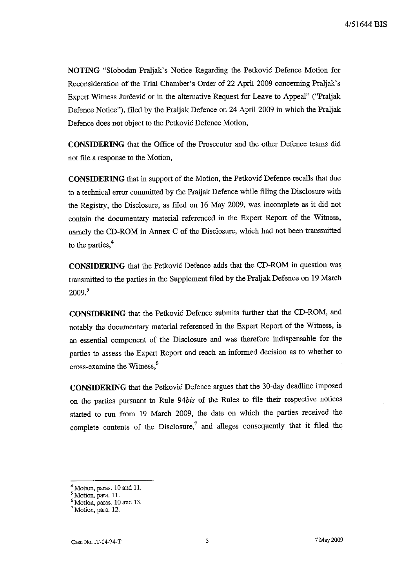NOTING "Slobodan Praljak's Notice Regarding the Petković Defence Motion for Reconsideration of the Trial Chamber's Order of 22 April 2009 concerning Praljak's Expert Witness Jurčević or in the alternative Request for Leave to Appeal" ("Praljak Defence Notice"), filed by the Praljak Defence on 24 April 2009 in which the Praljak Defence does not object to the Petković Defence Motion,

**CONSIDERING** that the Office of the Prosecutor and the other Defence teams did not file a response to the Motion,

**CONSIDERING** that in support of the Motion, the Petkovic Defence recalls that due to a technical error committed by the Praljak Defence while filing the Disclosure with the Registty, the Disclosure, as filed on 16 May 2009, was incomplete as it did not contain the documentary material referenced in the Expert Report of the Witness, namely the CD-ROM in Annex C of the Disclosure, which had not been transmitted to the parties,<sup>4</sup>

**CONSIDERING** that the Petkovic Defence adds that the CD-ROM in question was transmitted to the parties in the Supplement filed by the Praljak Defence on 19 March  $2009<sup>5</sup>$ 

**CONSIDERING** that the Petkovic Defence submits further that the CD-ROM, and notably the documentary material referenced in the Expert Report of the Witness, is an essential component of the Disclosure and was therefore indispensable for the parties to assess the Expert Report and reach an informed decision as to whether to cross-examine the Witness,6

**CONSIDERING** that the Petkovic Defence argues that the 30-day deadline imposed on the parties pursuant to Ru1e *94bis* of the Rules to file their respective notices started to run from 19 March 2009, the date on which the parties received the complete contents of the Disclosure,<sup>7</sup> and alleges consequently that it filed the

<sup>&</sup>lt;sup>4</sup> Motion, paras. 10 and 11.

<sup>&</sup>lt;sup>5</sup> Motion, para. 11.

<sup>6</sup> Motion, paras. 10 and 13.

<sup>7</sup> Motion, para. 12.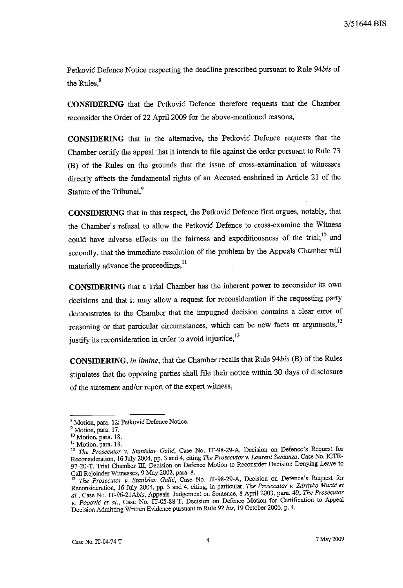*3/51644* BIS

Petkovic Defence Notice respectiog the deadline prescribed pursuant to Rule *94bis* of the Rules, $8$ 

**CONSIDERING** that the Petkovic Defence therefore requests that the Chamber reconsider the Order of 22 April 2009 for the above-mentioned reasons,

**CONSIDERING** that in the alternative, the Petkovic Defence requests that the Chamber certify the appeal that it intends to file against the order pursuant to Rule 73 (B) of the Rules on the grounds that the issue of cross-examination of witnesses directly affects the fundamental rights of an Accused enshrined in Article 21 of the Statute of the Tribunal.<sup>9</sup>

**CONSIDERING** that in this respect, the Petkovic Defence first argues, notably, that the Chamber's refusal to allow the Petkovic Defence to cross-examine the Witness could have adverse effects on the fairness and expeditiousness of the trial;<sup>10</sup> and secondly, that the immediate resolution of the problem by the Appeals Chamber will materially advance the proceedings,<sup>11</sup>

**CONSIDERING** that a Trial Chamber has the inherent power to reconsider its own decisions and that it may allow a request for reconsideration if the requesting party demonstrates to the Chamber that the impugned decision contains a clear error of reasoning or that particular circumstances, which can be new facts or arguments,<sup>12</sup> justify its reconsideration in order to avoid injustice,<sup>13</sup>

**CONSIDERING,** *in limine,* that the Chamber recalls that Rule *94bis* (B) of the Rules. stipulates that the opposing parties shall file their notice within 30 days of disclosure of the statement and/or report of the expert witness,

**<sup>8</sup> Motion, para. 12; Petkovic Defence Notice.** 

<sup>&</sup>lt;sup>9</sup> Motion, para. 17.

**<sup>10</sup>Motion, para. 18.** 

<sup>&</sup>lt;sup>11</sup> Motion, para. 18.

**<sup>12</sup>***The Prosecutor* **v.** *Stanislav Galid,* **Case No. IT-98-29-A, Decision on Defence's Request for**  Reconsideration, 16 July 2004, pp. 3 and 4, citing *The Prosecutor* v. *Laurent Semanza,* Case No. ICTR-97-20-T, Trial Chamber III, Decision on Defence Motion to Reconsider Decision Denying Leave to Call Rejoinder Witnesses, 9 May 2002, para. 8.

<sup>&</sup>lt;sup>13</sup> The Prosecutor v. Stanislav Galić, Case No. IT-98-29-A, Decision on Defence's Request for Reconsideration, 16 July 2004, pp. 3 and 4, citing, in particular, *The Prosecutor* v. *Zdravko Mucic et 01.,* Case No. IT-96-21Abis, Appeals Judgement on Sentence, 8 April 2003, para. 49; *The Prosecutor*  v. *Popovic et al.*, Case No. IT-05-88-T, Decision on Defence Motion for Certification to Appeal Decision Admitting Written Evidence pursuant to Rule 92 *bis,* 19 October 2006, p. 4.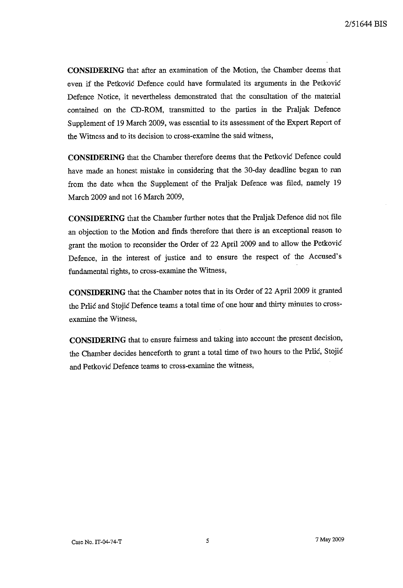**CONSIDERING** that after an examination of the Motion, the Chamber deems that even if the Petkovic Defence could have formulated its arguments in the Petkovic Defence Notice, it nevertheless demonstrated that the consultation of the material contained on the CD-ROM, transmitted to the parties in the Praljak Defence Supplement of 19 March 2009, was essential to its assessment of the Expert Report of the Witness and to its decision to cross-examine the said witness,

**CONSIDERING** that the Chamber therefore deems that the Petkovic Defence could have made an honest mistake in considering that the 30-day deadline began to run from the date when the Supplement of the Praljak Defence was filed, namely 19 March 2009 and not 16 March 2009,

**CONSIDERING** that the Chamber further notes that the Praljak Defence did not file an objection to the Motion and finds therefore that there is an exceptional reason to grant the motion to reconsider the Order of 22 April 2009 and to allow the Petkovic Defence, in the interest of justice and to ensure the respect of the Accused's fundamental rights, to cross-examine the Witness,

**CONSIDERING** that the Chamber notes that in its Order of 22 April 2009 it granted the Prlić and Stojić Defence teams a total time of one hour and thirty minutes to crossexamine the Witness,

**CONSIDERING** that to ensure fairness and taking into account the present decision, the Chamber decides henceforth to grant a total time of two hours to the Prlic, Stojic and Petkovic Defence teams to cross-examine the witness,